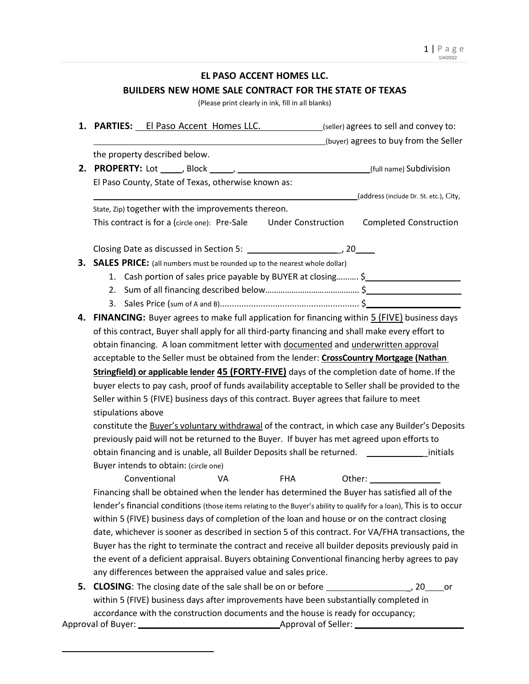### **EL PASO ACCENT HOMES LLC.**

# **BUILDERS NEW HOME SALE CONTRACT FOR THE STATE OF TEXAS**

(Please print clearly in ink, fill in all blanks)

|    |                                                                                                                     |                                                                                            |                                                     |                                                                                  |  | 1. PARTIES: El Paso Accent Homes LLC. (seller) agrees to sell and convey to:                       |    |  |
|----|---------------------------------------------------------------------------------------------------------------------|--------------------------------------------------------------------------------------------|-----------------------------------------------------|----------------------------------------------------------------------------------|--|----------------------------------------------------------------------------------------------------|----|--|
|    |                                                                                                                     |                                                                                            |                                                     |                                                                                  |  | (buyer) agrees to buy from the Seller                                                              |    |  |
|    |                                                                                                                     | the property described below.                                                              |                                                     |                                                                                  |  |                                                                                                    |    |  |
|    |                                                                                                                     |                                                                                            |                                                     |                                                                                  |  |                                                                                                    |    |  |
|    |                                                                                                                     |                                                                                            | El Paso County, State of Texas, otherwise known as: |                                                                                  |  |                                                                                                    |    |  |
|    |                                                                                                                     |                                                                                            |                                                     |                                                                                  |  | (address (include Dr. St. etc.), City,                                                             |    |  |
|    |                                                                                                                     |                                                                                            | State, Zip) together with the improvements thereon. |                                                                                  |  |                                                                                                    |    |  |
|    |                                                                                                                     | This contract is for a (circle one): Pre-Sale                                              |                                                     | <b>Under Construction</b>                                                        |  | <b>Completed Construction</b>                                                                      |    |  |
|    |                                                                                                                     |                                                                                            |                                                     |                                                                                  |  |                                                                                                    |    |  |
|    |                                                                                                                     |                                                                                            |                                                     | 3. SALES PRICE: (all numbers must be rounded up to the nearest whole dollar)     |  |                                                                                                    |    |  |
|    |                                                                                                                     |                                                                                            |                                                     |                                                                                  |  | 1. Cash portion of sales price payable by BUYER at closing \$                                      |    |  |
|    |                                                                                                                     |                                                                                            |                                                     |                                                                                  |  |                                                                                                    |    |  |
|    |                                                                                                                     |                                                                                            |                                                     |                                                                                  |  |                                                                                                    |    |  |
| 4. |                                                                                                                     |                                                                                            |                                                     |                                                                                  |  | FINANCING: Buyer agrees to make full application for financing within 5 (FIVE) business days       |    |  |
|    | of this contract, Buyer shall apply for all third-party financing and shall make every effort to                    |                                                                                            |                                                     |                                                                                  |  |                                                                                                    |    |  |
|    | obtain financing. A loan commitment letter with documented and underwritten approval                                |                                                                                            |                                                     |                                                                                  |  |                                                                                                    |    |  |
|    | acceptable to the Seller must be obtained from the lender: CrossCountry Mortgage (Nathan                            |                                                                                            |                                                     |                                                                                  |  |                                                                                                    |    |  |
|    | Stringfield) or applicable lender 45 (FORTY-FIVE) days of the completion date of home. If the                       |                                                                                            |                                                     |                                                                                  |  |                                                                                                    |    |  |
|    | buyer elects to pay cash, proof of funds availability acceptable to Seller shall be provided to the                 |                                                                                            |                                                     |                                                                                  |  |                                                                                                    |    |  |
|    | Seller within 5 (FIVE) business days of this contract. Buyer agrees that failure to meet                            |                                                                                            |                                                     |                                                                                  |  |                                                                                                    |    |  |
|    | stipulations above                                                                                                  |                                                                                            |                                                     |                                                                                  |  |                                                                                                    |    |  |
|    | constitute the Buyer's voluntary withdrawal of the contract, in which case any Builder's Deposits                   |                                                                                            |                                                     |                                                                                  |  |                                                                                                    |    |  |
|    |                                                                                                                     | previously paid will not be returned to the Buyer. If buyer has met agreed upon efforts to |                                                     |                                                                                  |  |                                                                                                    |    |  |
|    |                                                                                                                     |                                                                                            |                                                     |                                                                                  |  | obtain financing and is unable, all Builder Deposits shall be returned. __________________initials |    |  |
|    |                                                                                                                     | Buyer intends to obtain: (circle one)                                                      |                                                     |                                                                                  |  |                                                                                                    |    |  |
|    |                                                                                                                     | Conventional                                                                               | VA                                                  | <b>FHA</b>                                                                       |  |                                                                                                    |    |  |
|    | Financing shall be obtained when the lender has determined the Buyer has satisfied all of the                       |                                                                                            |                                                     |                                                                                  |  |                                                                                                    |    |  |
|    | lender's financial conditions (those items relating to the Buyer's ability to qualify for a loan), This is to occur |                                                                                            |                                                     |                                                                                  |  |                                                                                                    |    |  |
|    | within 5 (FIVE) business days of completion of the loan and house or on the contract closing                        |                                                                                            |                                                     |                                                                                  |  |                                                                                                    |    |  |
|    | date, whichever is sooner as described in section 5 of this contract. For VA/FHA transactions, the                  |                                                                                            |                                                     |                                                                                  |  |                                                                                                    |    |  |
|    | Buyer has the right to terminate the contract and receive all builder deposits previously paid in                   |                                                                                            |                                                     |                                                                                  |  |                                                                                                    |    |  |
|    | the event of a deficient appraisal. Buyers obtaining Conventional financing herby agrees to pay                     |                                                                                            |                                                     |                                                                                  |  |                                                                                                    |    |  |
|    |                                                                                                                     |                                                                                            |                                                     | any differences between the appraised value and sales price.                     |  |                                                                                                    |    |  |
| 5. |                                                                                                                     |                                                                                            |                                                     |                                                                                  |  |                                                                                                    | or |  |
|    | within 5 (FIVE) business days after improvements have been substantially completed in                               |                                                                                            |                                                     |                                                                                  |  |                                                                                                    |    |  |
|    |                                                                                                                     |                                                                                            |                                                     | accordance with the construction documents and the house is ready for occupancy; |  |                                                                                                    |    |  |
|    |                                                                                                                     |                                                                                            |                                                     |                                                                                  |  |                                                                                                    |    |  |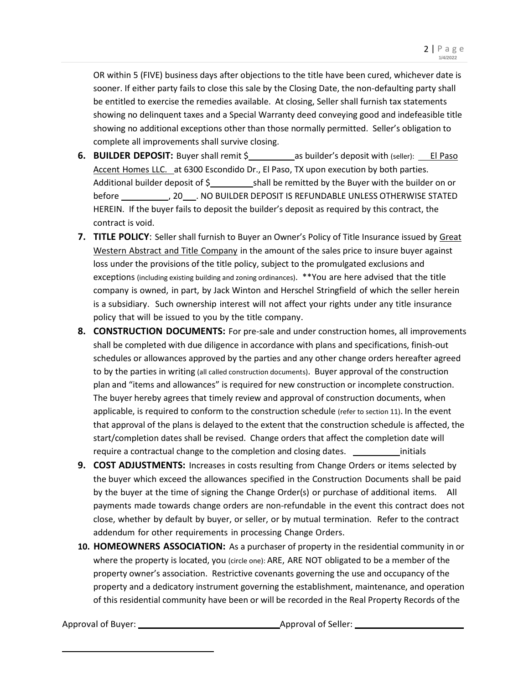OR within 5 (FIVE) business days after objections to the title have been cured, whichever date is sooner. If either party fails to close this sale by the Closing Date, the non-defaulting party shall be entitled to exercise the remedies available. At closing, Seller shall furnish tax statements showing no delinquent taxes and a Special Warranty deed conveying good and indefeasible title showing no additional exceptions other than those normally permitted. Seller's obligation to complete all improvements shall survive closing.

- **6. BUILDER DEPOSIT:** Buyer shall remit \$ as builder's deposit with (seller): El Paso Accent Homes LLC. at 6300 Escondido Dr., El Paso, TX upon execution by both parties. Additional builder deposit of  $\frac{5}{2}$  shall be remitted by the Buyer with the builder on or before \_\_\_\_\_\_\_\_\_\_\_\_\_\_, 20\_\_\_\_. NO BUILDER DEPOSIT IS REFUNDABLE UNLESS OTHERWISE STATED HEREIN. If the buyer fails to deposit the builder's deposit as required by this contract, the contract is void.
- **7. TITLE POLICY**: Seller shall furnish to Buyer an Owner's Policy of Title Insurance issued by Great Western Abstract and Title Company in the amount of the sales price to insure buyer against loss under the provisions of the title policy, subject to the promulgated exclusions and exceptions (including existing building and zoning ordinances). \*\*You are here advised that the title company is owned, in part, by Jack Winton and Herschel Stringfield of which the seller herein is a subsidiary. Such ownership interest will not affect your rights under any title insurance policy that will be issued to you by the title company.
- **8. CONSTRUCTION DOCUMENTS:** For pre-sale and under construction homes, all improvements shall be completed with due diligence in accordance with plans and specifications, finish-out schedules or allowances approved by the parties and any other change orders hereafter agreed to by the parties in writing (all called construction documents). Buyer approval of the construction plan and "items and allowances" is required for new construction or incomplete construction. The buyer hereby agrees that timely review and approval of construction documents, when applicable, is required to conform to the construction schedule (refer to section 11). In the event that approval of the plans is delayed to the extent that the construction schedule is affected, the start/completion dates shall be revised. Change orders that affect the completion date will require a contractual change to the completion and closing dates. **incontractual change of the contract** initials
- **9. COST ADJUSTMENTS:** Increases in costs resulting from Change Orders or items selected by the buyer which exceed the allowances specified in the Construction Documents shall be paid by the buyer at the time of signing the Change Order(s) or purchase of additional items. All payments made towards change orders are non-refundable in the event this contract does not close, whether by default by buyer, or seller, or by mutual termination. Refer to the contract addendum for other requirements in processing Change Orders.
- **10. HOMEOWNERS ASSOCIATION:** As a purchaser of property in the residential community in or where the property is located, you (circle one): ARE, ARE NOT obligated to be a member of the property owner's association. Restrictive covenants governing the use and occupancy of the property and a dedicatory instrument governing the establishment, maintenance, and operation of this residential community have been or will be recorded in the Real Property Records of the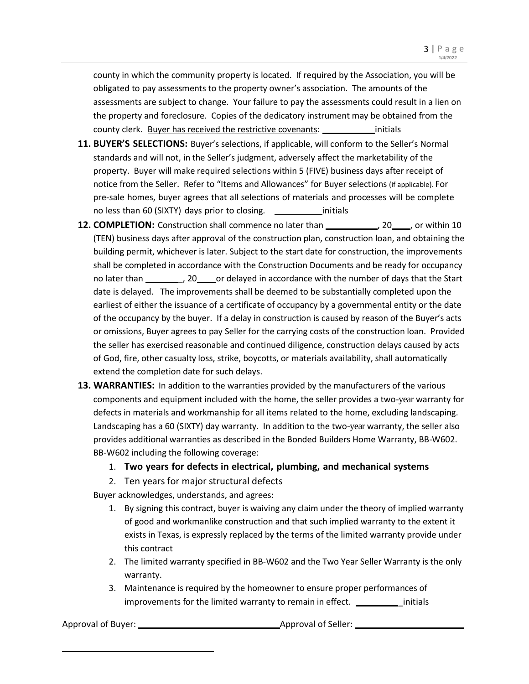county in which the community property is located. If required by the Association, you will be obligated to pay assessments to the property owner's association. The amounts of the assessments are subject to change. Your failure to pay the assessments could result in a lien on the property and foreclosure. Copies of the dedicatory instrument may be obtained from the county clerk. Buyer has received the restrictive covenants: initials

- **11. BUYER'S SELECTIONS:** Buyer's selections, if applicable, will conform to the Seller's Normal standards and will not, in the Seller's judgment, adversely affect the marketability of the property. Buyer will make required selections within 5 (FIVE) business days after receipt of notice from the Seller. Refer to "Items and Allowances" for Buyer selections (if applicable). For pre-sale homes, buyer agrees that all selections of materials and processes will be complete no less than 60 (SIXTY) days prior to closing. <u>\_\_\_\_\_\_\_\_\_\_\_\_\_</u>initials
- **12. COMPLETION:** Construction shall commence no later than 10, 20, 20, 20, 20, or within 10 (TEN) business days after approval of the construction plan, construction loan, and obtaining the building permit, whichever is later. Subject to the start date for construction, the improvements shall be completed in accordance with the Construction Documents and be ready for occupancy no later than \_\_\_\_\_\_\_\_\_\_, 20\_\_\_\_\_or delayed in accordance with the number of days that the Start date is delayed. The improvements shall be deemed to be substantially completed upon the earliest of either the issuance of a certificate of occupancy by a governmental entity or the date of the occupancy by the buyer. If a delay in construction is caused by reason of the Buyer's acts or omissions, Buyer agrees to pay Seller for the carrying costs of the construction loan. Provided the seller has exercised reasonable and continued diligence, construction delays caused by acts of God, fire, other casualty loss, strike, boycotts, or materials availability, shall automatically extend the completion date for such delays.
- **13. WARRANTIES:** In addition to the warranties provided by the manufacturers of the various components and equipment included with the home, the seller provides a two-year warranty for defects in materials and workmanship for all items related to the home, excluding landscaping. Landscaping has a 60 (SIXTY) day warranty. In addition to the two-year warranty, the seller also provides additional warranties as described in the Bonded Builders Home Warranty, BB-W602. BB-W602 including the following coverage:

### 1. **Two years for defects in electrical, plumbing, and mechanical systems**

2. Ten years for major structural defects

Buyer acknowledges, understands, and agrees:

- 1. By signing this contract, buyer is waiving any claim under the theory of implied warranty of good and workmanlike construction and that such implied warranty to the extent it exists in Texas, is expressly replaced by the terms of the limited warranty provide under this contract
- 2. The limited warranty specified in BB-W602 and the Two Year Seller Warranty is the only warranty.
- 3. Maintenance is required by the homeowner to ensure proper performances of improvements for the limited warranty to remain in effect. \_\_\_\_\_\_\_\_\_\_\_ initials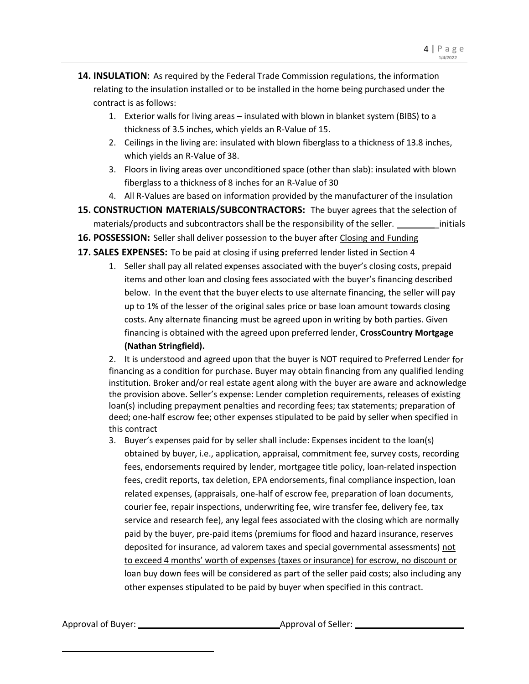- **14. INSULATION**: As required by the Federal Trade Commission regulations, the information relating to the insulation installed or to be installed in the home being purchased under the contract is as follows:
	- 1. Exterior walls for living areas insulated with blown in blanket system (BIBS) to a thickness of 3.5 inches, which yields an R-Value of 15.
	- 2. Ceilings in the living are: insulated with blown fiberglass to a thickness of 13.8 inches, which yields an R-Value of 38.
	- 3. Floors in living areas over unconditioned space (other than slab): insulated with blown fiberglass to a thickness of 8 inches for an R-Value of 30
	- 4. All R-Values are based on information provided by the manufacturer of the insulation
- **15. CONSTRUCTION MATERIALS/SUBCONTRACTORS:** The buyer agrees that the selection of materials/products and subcontractors shall be the responsibility of the seller. \_\_\_\_\_\_\_\_\_\_ initials
- **16. POSSESSION:** Seller shall deliver possession to the buyer after Closing and Funding
- **17. SALES EXPENSES:** To be paid at closing if using preferred lender listed in Section 4
	- 1. Seller shall pay all related expenses associated with the buyer's closing costs, prepaid items and other loan and closing fees associated with the buyer's financing described below. In the event that the buyer elects to use alternate financing, the seller will pay up to 1% of the lesser of the original sales price or base loan amount towards closing costs. Any alternate financing must be agreed upon in writing by both parties. Given financing is obtained with the agreed upon preferred lender, **CrossCountry Mortgage (Nathan Stringfield).**

2. It is understood and agreed upon that the buyer is NOT required to Preferred Lender for financing as a condition for purchase. Buyer may obtain financing from any qualified lending institution. Broker and/or real estate agent along with the buyer are aware and acknowledge the provision above. Seller's expense: Lender completion requirements, releases of existing loan(s) including prepayment penalties and recording fees; tax statements; preparation of deed; one-half escrow fee; other expenses stipulated to be paid by seller when specified in this contract

3. Buyer's expenses paid for by seller shall include: Expenses incident to the loan(s) obtained by buyer, i.e., application, appraisal, commitment fee, survey costs, recording fees, endorsements required by lender, mortgagee title policy, loan-related inspection fees, credit reports, tax deletion, EPA endorsements, final compliance inspection, loan related expenses, (appraisals, one-half of escrow fee, preparation of loan documents, courier fee, repair inspections, underwriting fee, wire transfer fee, delivery fee, tax service and research fee), any legal fees associated with the closing which are normally paid by the buyer, pre-paid items (premiums for flood and hazard insurance, reserves deposited for insurance, ad valorem taxes and special governmental assessments) not to exceed 4 months' worth of expenses (taxes or insurance) for escrow, no discount or loan buy down fees will be considered as part of the seller paid costs; also including any other expenses stipulated to be paid by buyer when specified in this contract.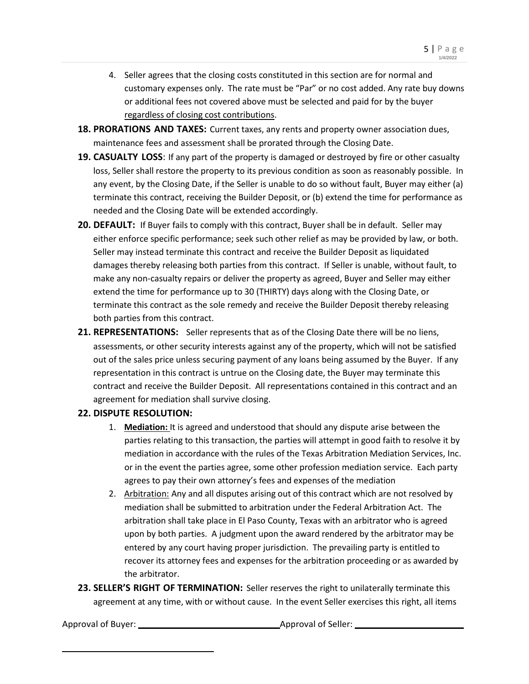- 4. Seller agrees that the closing costs constituted in this section are for normal and customary expenses only. The rate must be "Par" or no cost added. Any rate buy downs or additional fees not covered above must be selected and paid for by the buyer regardless of closing cost contributions.
- **18. PRORATIONS AND TAXES:** Current taxes, any rents and property owner association dues, maintenance fees and assessment shall be prorated through the Closing Date.
- **19. CASUALTY LOSS**: If any part of the property is damaged or destroyed by fire or other casualty loss, Seller shall restore the property to its previous condition as soon as reasonably possible. In any event, by the Closing Date, if the Seller is unable to do so without fault, Buyer may either (a) terminate this contract, receiving the Builder Deposit, or (b) extend the time for performance as needed and the Closing Date will be extended accordingly.
- **20. DEFAULT:** If Buyer fails to comply with this contract, Buyer shall be in default. Seller may either enforce specific performance; seek such other relief as may be provided by law, or both. Seller may instead terminate this contract and receive the Builder Deposit as liquidated damages thereby releasing both parties from this contract. If Seller is unable, without fault, to make any non-casualty repairs or deliver the property as agreed, Buyer and Seller may either extend the time for performance up to 30 (THIRTY) days along with the Closing Date, or terminate this contract as the sole remedy and receive the Builder Deposit thereby releasing both parties from this contract.
- **21. REPRESENTATIONS:** Seller represents that as of the Closing Date there will be no liens, assessments, or other security interests against any of the property, which will not be satisfied out of the sales price unless securing payment of any loans being assumed by the Buyer. If any representation in this contract is untrue on the Closing date, the Buyer may terminate this contract and receive the Builder Deposit. All representations contained in this contract and an agreement for mediation shall survive closing.

### **22. DISPUTE RESOLUTION:**

- 1. **Mediation:** It is agreed and understood that should any dispute arise between the parties relating to this transaction, the parties will attempt in good faith to resolve it by mediation in accordance with the rules of the Texas Arbitration Mediation Services, Inc. or in the event the parties agree, some other profession mediation service. Each party agrees to pay their own attorney's fees and expenses of the mediation
- 2. Arbitration: Any and all disputes arising out of this contract which are not resolved by mediation shall be submitted to arbitration under the Federal Arbitration Act. The arbitration shall take place in El Paso County, Texas with an arbitrator who is agreed upon by both parties. A judgment upon the award rendered by the arbitrator may be entered by any court having proper jurisdiction. The prevailing party is entitled to recover its attorney fees and expenses for the arbitration proceeding or as awarded by the arbitrator.
- **23. SELLER'S RIGHT OF TERMINATION:** Seller reserves the right to unilaterally terminate this agreement at any time, with or without cause. In the event Seller exercises this right, all items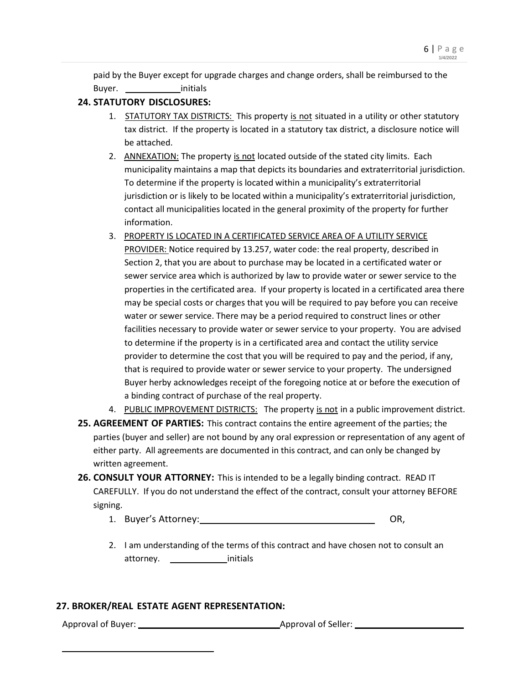paid by the Buyer except for upgrade charges and change orders, shall be reimbursed to the Buyer. initials

## **24. STATUTORY DISCLOSURES:**

- 1. STATUTORY TAX DISTRICTS: This property is not situated in a utility or other statutory tax district. If the property is located in a statutory tax district, a disclosure notice will be attached.
- 2. ANNEXATION: The property is not located outside of the stated city limits. Each municipality maintains a map that depicts its boundaries and extraterritorial jurisdiction. To determine if the property is located within a municipality's extraterritorial jurisdiction or is likely to be located within a municipality's extraterritorial jurisdiction, contact all municipalities located in the general proximity of the property for further information.
- 3. PROPERTY IS LOCATED IN A CERTIFICATED SERVICE AREA OF A UTILITY SERVICE PROVIDER: Notice required by 13.257, water code: the real property, described in Section 2, that you are about to purchase may be located in a certificated water or sewer service area which is authorized by law to provide water or sewer service to the properties in the certificated area. If your property is located in a certificated area there may be special costs or charges that you will be required to pay before you can receive water or sewer service. There may be a period required to construct lines or other facilities necessary to provide water or sewer service to your property. You are advised to determine if the property is in a certificated area and contact the utility service provider to determine the cost that you will be required to pay and the period, if any, that is required to provide water or sewer service to your property. The undersigned Buyer herby acknowledges receipt of the foregoing notice at or before the execution of a binding contract of purchase of the real property.
- 4. PUBLIC IMPROVEMENT DISTRICTS: The property is not in a public improvement district.
- **25. AGREEMENT OF PARTIES:** This contract contains the entire agreement of the parties; the parties (buyer and seller) are not bound by any oral expression or representation of any agent of either party. All agreements are documented in this contract, and can only be changed by written agreement.
- **26. CONSULT YOUR ATTORNEY:** This is intended to be a legally binding contract. READ IT CAREFULLY. If you do not understand the effect of the contract, consult your attorney BEFORE signing.
	- 1. Buyer's Attorney: OR,
	- 2. I am understanding of the terms of this contract and have chosen not to consult an attorney. initials

### **27. BROKER/REAL ESTATE AGENT REPRESENTATION:**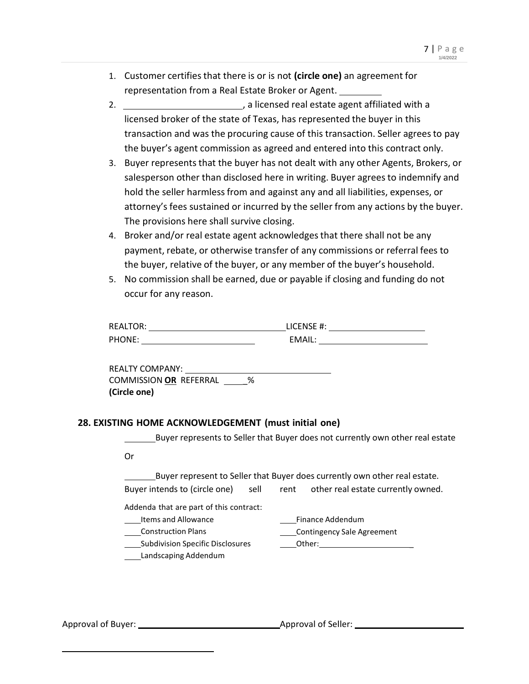- 1. Customer certifies that there is or is not **(circle one)** an agreement for representation from a Real Estate Broker or Agent.
- 2. **Example 2.** The state agent affiliated with a licensed broker of the state of Texas, has represented the buyer in this transaction and was the procuring cause of this transaction. Seller agreesto pay the buyer's agent commission as agreed and entered into this contract only.
- 3. Buyer represents that the buyer has not dealt with any other Agents, Brokers, or salesperson other than disclosed here in writing. Buyer agrees to indemnify and hold the seller harmless from and against any and all liabilities, expenses, or attorney's fees sustained or incurred by the seller from any actions by the buyer. The provisions here shall survive closing.
- 4. Broker and/or real estate agent acknowledgesthat there shall not be any payment, rebate, or otherwise transfer of any commissions or referral fees to the buyer, relative of the buyer, or any member of the buyer's household.
- 5. No commission shall be earned, due or payable if closing and funding do not occur for any reason.

| <b>REALTOR:</b> | LICENSE #: |
|-----------------|------------|
| PHONE:          | EMAIL:     |

REALTY COMPANY: COMMISSION **OR** REFERRAL \_% **(Circle one)**

# **28. EXISTING HOME ACKNOWLEDGEMENT (must initial one)**

Buyer represents to Seller that Buyer does not currently own other real estate

Or

Buyer represent to Seller that Buyer does currently own other real estate.

Buyer intends to (circle one) sell rent other real estate currently owned.

Addenda that are part of this contract:

Items and Allowance

Construction Plans

Subdivision Specific Disclosures

Landscaping Addendum

| Finance Addendum                  |  |
|-----------------------------------|--|
| <b>Contingency Sale Agreement</b> |  |
| Other:                            |  |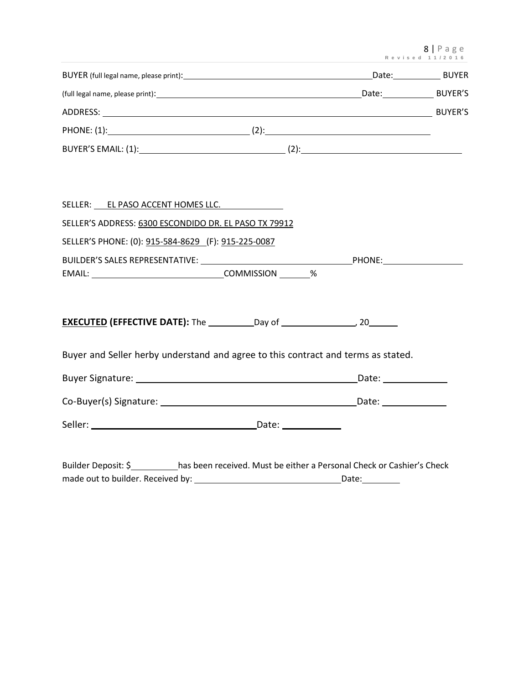8 | P a g e **R e v i s e d 1 1 / 2 0 1 6**

|                                                                                   | Kevisea 11/2010 |
|-----------------------------------------------------------------------------------|-----------------|
|                                                                                   |                 |
|                                                                                   |                 |
|                                                                                   |                 |
|                                                                                   |                 |
|                                                                                   |                 |
|                                                                                   |                 |
|                                                                                   |                 |
| SELLER: EL PASO ACCENT HOMES LLC.                                                 |                 |
| SELLER'S ADDRESS: 6300 ESCONDIDO DR. EL PASO TX 79912                             |                 |
| SELLER'S PHONE: (0): 915-584-8629 (F): 915-225-0087                               |                 |
|                                                                                   |                 |
|                                                                                   |                 |
|                                                                                   |                 |
| EXECUTED (EFFECTIVE DATE): The ___________Day of __________________, 20________   |                 |
|                                                                                   |                 |
| Buyer and Seller herby understand and agree to this contract and terms as stated. |                 |
|                                                                                   |                 |
|                                                                                   |                 |

Seller: Date:

Builder Deposit: \$ has been received. Must be either a Personal Check or Cashier's Check made out to builder. Received by: Date: